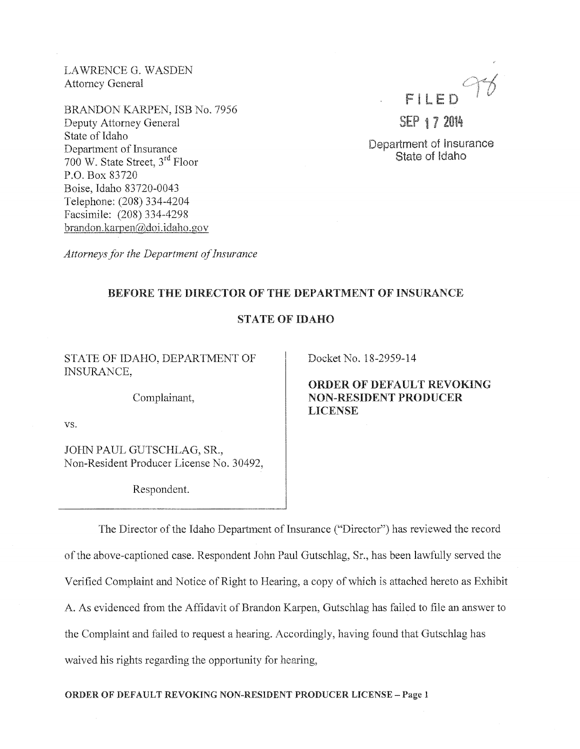LAWRENCE G. WASDEN Attomey General

BRANDON KARPEN, ISB No. 7956 Deputy Attorney General State of Idaho Department of Insurance 700 W. State Street, 3rd Floor P.O. Box 83720 Boise, Idaho 83720-0043 Telephone: (208) 334-4204 Facsimile: (208) 334-4298 brandon.karpen@doi.idaho.gov

FILED

SEP 17 2014

Department of Insurance State of Idaho

*Attorneys fhr the Department of Insurance* 

## BEFORE THE DIRECTOR OF THE DEPARTMENT OF INSURANCE

# STATE OF IDAHO

STATE OF IDAHO, DEPARTMENT OF INSURANCE,

Complainant,

vs.

JOHN PAUL GUTSCHLAG, SR., Non-Resident Producer License No. 30492,

Respondent.

Docket No. 18-2959-14

ORDER OF DEFAULT REVOKING NON-RESIDENT PRODUCER **LICENSE** 

The Director of the Idaho Department of Insurance ("Director") has reviewed the record of the above-captioned case. Respondent John Paul Gutschlag, Sr., has been lawfully served the Verified Complaint and Notice of Right to Hearing, a copy of which is attached hereto as Exhibit A. As evidenced from the Affidavit of Brandon Karpen, Gutschlag has failed to file an answer to the Complaint and failed to request a hearing. Accordingly, having found that Gutschlag has waived his rights regarding the opportunity for hearing,

ORDER OF DEFAULT REVOKING NON-RESIDENT PRODUCER LICENSE- Page l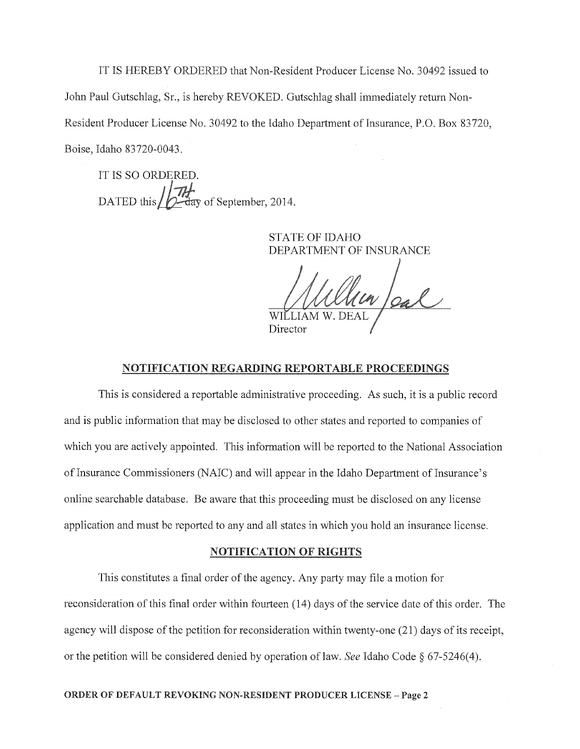IT IS HEREBY ORDERED that Non-Resident Producer License No. 30492 issued to John Paul Gutschlag, Sr., is hereby REVOKED. Gutschlag shall immediately return Non-Resident Producer License No. 30492 to the Idaho Department of Insurance, P.O. Box 83720, Boise, Idaho 83720-0043.

IT IS SO ORDERED. DATED this  $\iiint_{\text{C} \to \text{day}}$  of September, 2014.

> STATE OF IDAHO DEPARTMENT OF INSURANCE

William DEAL Director

## NOTIFICATION REGARDING REPORTABLE PROCEEDINGS

This is considered a reportable administrative proceeding. As such, it is a public record and is public information that may be disclosed to other states and reported to companies of which you are actively appointed. This information will be reported to the National Association of Insurance Commissioners (NAIC) and will appear in the Idaho Department of Insurance's online searchable database. Be aware that this proceeding must be disclosed on any license application and must be reported to any and all states in which you hold an insurance license.

## NOTIFICATION OF RIGHTS

This constitutes a final order of the agency. Any party may file a motion for reconsideration of this final order within fourteen (14) days of the service date of this order. The agency will dispose of the petition for reconsideration within twenty-one (21) days of its receipt, or the petition will be considered denied by operation of law. *See* Idaho Code § 67-5246(4).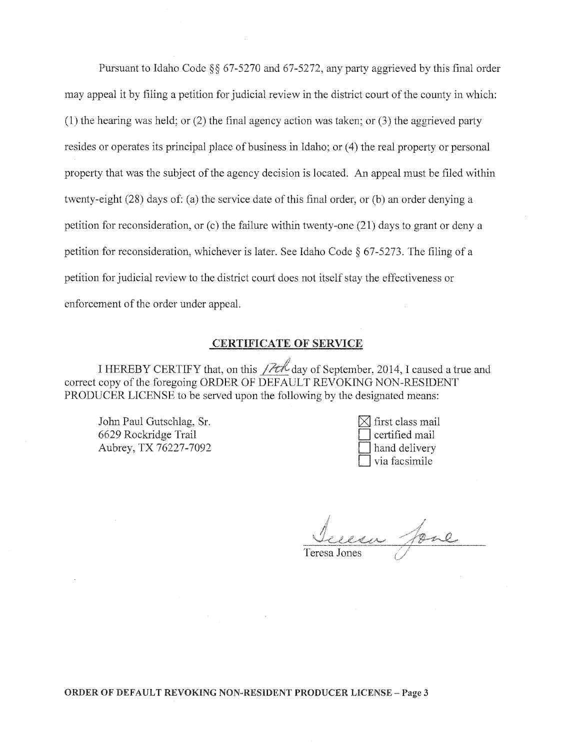Pursuant to Idaho Code  $\S$ § 67-5270 and 67-5272, any party aggrieved by this final order may appeal it by filing a petition for judicial review in the district court of the county in which: (1) the hearing was held; or  $(2)$  the final agency action was taken; or  $(3)$  the aggrieved party resides or operates its principal place of business in Idaho; or (4) the real property or personal property that was the subject of the agency decision is located. An appeal must be filed within twenty-eight (28) days of: (a) the service date of this final order, or (b) an order denying a petition for reconsideration, or (c) the failure within twenty-one (21) days to grant or deny a petition for reconsideration, whichever is later. See Idaho Code § 67-5273. The filing of a petition for judicial review to the district court does not itself stay the effectiveness or enforcement of the order under appeal.

# CERTIFICATE OF SERVICE

I HEREBY CERTIFY that, on this  $\sqrt{2t\sqrt{t}}$  day of September, 2014, I caused a true and correct copy of the foregoing ORDER OF DEFAULT REVOKING NON-RESIDENT PRODUCER LICENSE to be served upon the following by the designated means:

John Paul Gutschlag, Sr. 6629 Rockridge Trail Aubrey, TX 76227-7092

| $\triangleleft$ first class mail |
|----------------------------------|
| certified mail                   |
| hand delivery                    |
| via facsimile                    |

esa fore

ORDER OF DEFAULT REVOKING NON--RESIDENT PRODUCER LICENSE- Page 3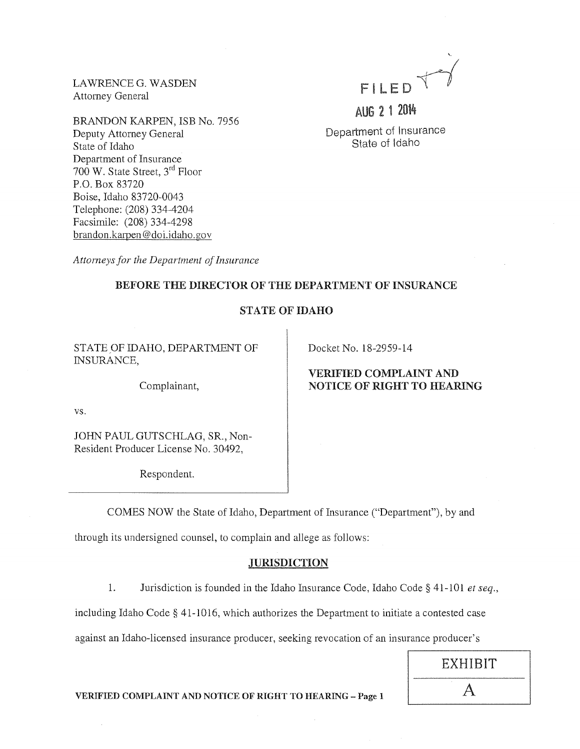LAWRENCE G. WASDEN Attorney General

BRANDON KARPEN, ISB No. 7956 Deputy Attorney General State of Idaho Department of Insurance  $700$  W. State Street,  $3^{rd}$  Floor P.O. Box 83720 Boise, Idaho 83720-0043 Telephone: (208) 334-4204 Facsimile: (208) 334-4298 brandon.karpen @doi.idaho.gov

'- FILED  $\overline{V}$ 

AUG 2 1 2014

Department of Insurance State of Idaho

*Attorneys for the Department of Insurance* 

## BEFORE THE DIRECTOR OF THE DEPARTMENT OF INSURANCE

# STATE OF IDAHO

STATE OF IDAHO, DEPARTMENT OF INSURANCE,

Complainant,

vs.

JOHN PAUL GUTSCHLAG, SR., Non-Resident Producer License No. 30492,

Respondent.

Docket No. 18-2959-14

# VERIFIED COMPLAINT AND NOTICE OF RIGHT TO HEARING

COMES NOW the State of Idaho, Department of Insurance ("Department"), by and

through its undersigned counsel, to complain and allege as follows:

# **JURISDICTION**

1. Jurisdiction is founded in the Idaho Insurance Code, Idaho Code§ 41-101 *et seq.,* 

including Idaho Code§ 41-1016, which authorizes the Department to initiate a contested case

against an Idaho-licensed insurance producer, seeking revocation of an insurance producer's

EXHIBIT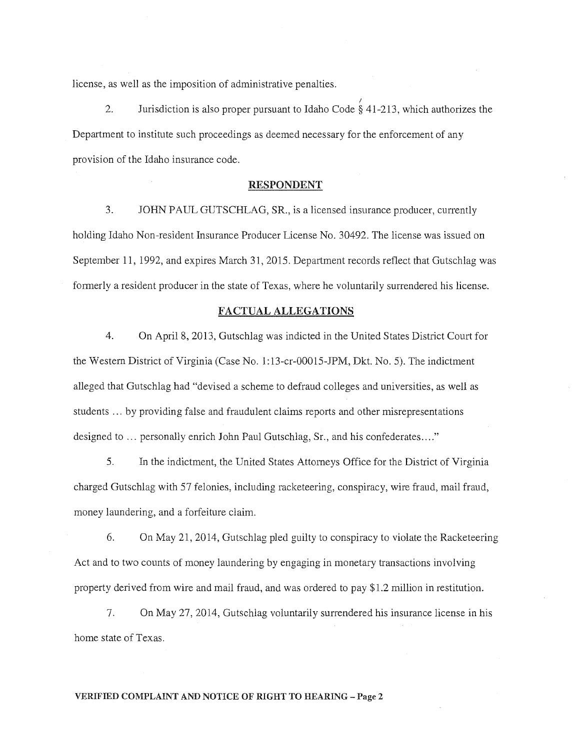license, as well as the imposition of administrative penalties.

2. Jurisdiction is also proper pursuant to Idaho Code  $\frac{7}{8}$  41-213, which authorizes the Department to institute such proceedings as deemed necessary for the enforcement of any provision of the Idaho insurance code.

## RESPONDENT

3. JOHN PAUL GUTSCHLAG, SR., is a licensed insurance producer, currently holding Idaho Non-resident Insurance Producer License No. 30492. The license was issued on September 11, 1992, and expires March 31, 2015. Department records reflect that Gutschlag was formerly a resident producer in the state of Texas, where he voluntarily surrendered his license.

### FACTUAL ALLEGATIONS

4. On April 8, 2013, Gutschlag was indicted in the United States District Court for the Western District of Virginia (Case No. 1: 13-cr-00015-JPM, Dkt. No. 5). The indictment alleged that Gutschlag had "devised a scheme to defraud colleges and universities, as well as students ... by providing false and fraudulent claims reports and other misrepresentations designed to ... personally enrich John Paul Gutschlag, Sr., and his confederates...."

5. In the indictment, the United States Attorneys Office for the District of Virginia charged Gutschlag with 57 felonies, including racketeering, conspiracy, wire fraud, mail fraud, money laundering, and a forfeiture claim.

6. On May 21, 2014, Gutschlag pled guilty to conspiracy to violate the Racketeering Act and to two counts of money laundering by engaging in monetary transactions involving property derived from wire and mail fraud, and was ordered to pay \$1.2 million in restitution.

7. On May 27, 2014, Gutschlag voluntarily surrendered his insurance license in his home state of Texas.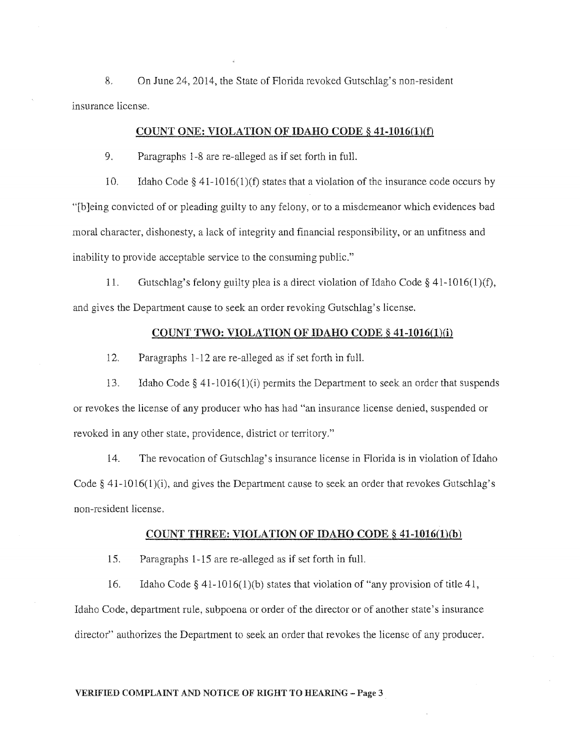8. On June 24, 2014, the State of Florida revoked Gutschlag's non-resident insurance license.

## COUNT ONE: VIOLATION OF IDAHO CODE  $\S$  41-1016(1)(f)

9. Paragraphs 1-8 are re-alleged as if set forth in fulL

10. Idaho Code§ 41-1016(1)(f) states that a violation of the insurance code occurs by "[b]eing convicted of or pleading guilty to any felony, or to a misdemeanor which evidences bad moral character, dishonesty, a lack of integrity and financial responsibility, or an unfitness and inability to provide acceptable service to the consuming public."

11. Gutschlag's felony guilty plea is a direct violation ofldaho Code§ 41-1016(1)(f), and gives the Department cause to seek an order revoking Gutschlag's license.

## COUNT TWO: VIOLATION OF IDAHO CODE § 41-1016(1)(i)

12. Paragraphs 1-12 are re-alleged as if set forth in full.

13. Idaho Code§ 41-1016(l)(i) permits the Department to seek an order that suspends or revokes the license of any producer who has had "an insurance license denied, suspended or revoked in any other state, providence, district or territory."

14. The revocation of Gutschlag's insurance license in Florida is in violation of Idaho Code § 41-1016(1)(i), and gives the Department cause to seek an order that revokes Gutschlag's non-resident license.

### COUNT THREE: VIOLATION OF IDAHO CODE§ 41-1016(1)(b)

15. Paragraphs 1-15 are re-alleged as if set forth in full.

16. Idaho Code§ 41-1016(1)(b) states that violation of "any provision of title 41, Idaho Code, department rule, subpoena or order of the director or of another state's insurance director" authorizes the Department to seek an order that revokes the license of any producer.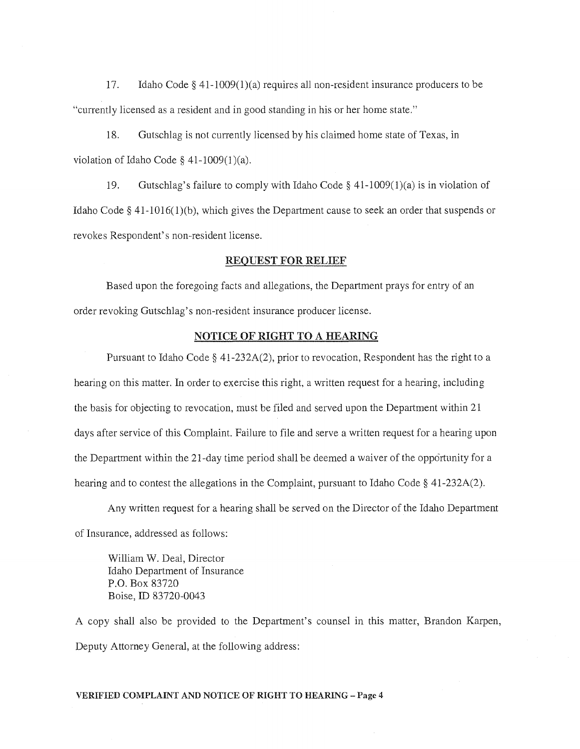17. Idaho Code  $\S$  41-1009(1)(a) requires all non-resident insurance producers to be "currently licensed as a resident and in good standing in his or her home state."

18. Gutschlag is not currently licensed by his claimed home state of Texas, in violation of Idaho Code  $\S$  41-1009(1)(a).

19. Gutschlag's failure to comply with Idaho Code §  $41-1009(1)(a)$  is in violation of Idaho Code § 41-1016(1)(b), which gives the Department cause to seek an order that suspends or revokes Respondent's non-resident license.

### REQUEST FOR RELIEF

Based upon the foregoing facts and allegations, the Department prays for entry of an order revoking Gutschlag's non-resident insurance producer license.

## NOTICE OF RIGHT TO A HEARING

Pursuant to Idaho Code § 41-232A(2), prior to revocation, Respondent has the right to a hearing on this matter. In order to exercise this right, a written request for a hearing, including the basis for objecting to revocation, must be filed and served upon the Department within 21 days after service of this Complaint. Failure to file and serve a written request for a hearing upon the Department within the 21-day time period shall be deemed a waiver of the opportunity for a hearing and to contest the allegations in the Complaint, pursuant to Idaho Code§ 41-232A(2).

Any written request for a hearing shall be served on the Director of the Idaho Department of Insurance, addressed as follows:

William W. Deal, Director Idaho Department of Insurance P.O. Box 83720 Boise, ID 83720-0043

A copy shall also be provided to the Department's counsel in this matter, Brandon Karpen, Deputy Attorney General, at the following address: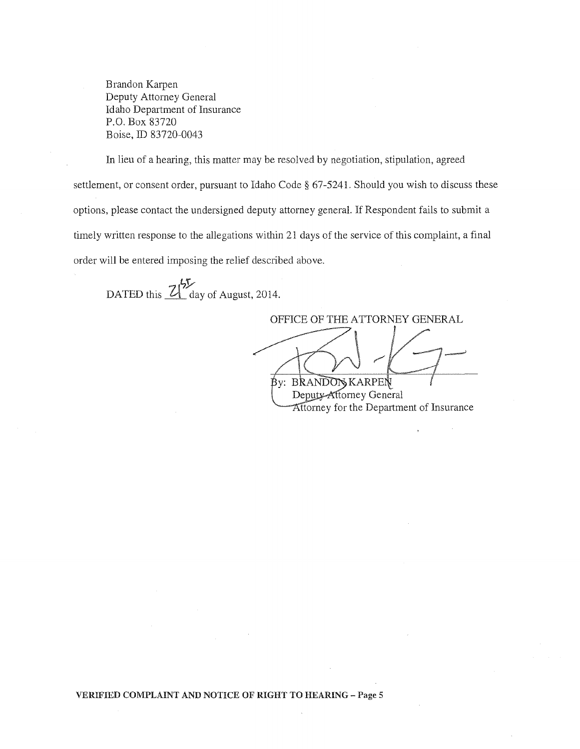Brandon Karpen Deputy Attorney General Idaho Department of Insurance P.O. Box 83720 Boise, ID 83720-0043

In lieu of a hearing, this matter may be resolved by negotiation, stipulation, agreed settlement, or consent order, pursuant to Idaho Code § 67-5241. Should you wish to discuss these options, please contact the undersigned deputy attorney general. If Respondent fails to submit a timely written response to the allegations within 21 days of the service of this complaint, a final order will be entered imposing the relief described above.

DATED this  $\frac{2\sqrt[4]{5}}{2}$  day of August, 2014.

OFFICE OF THE ATTORNEY GENERAL **By: BRANDON KARPEN** 

Deputy-Attorney General Attorney for the Department of Insurance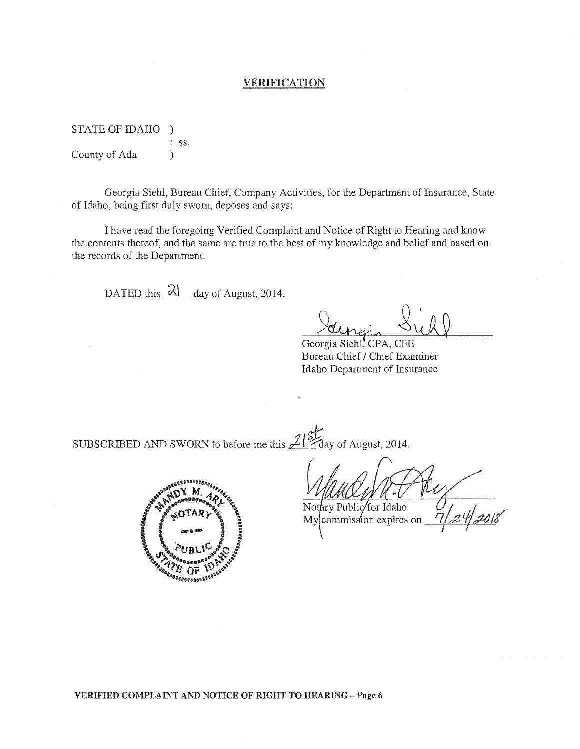## VERIFICATION

STATE OF IDAHO ) ss. County of Ada (b)

Georgia Siehl, Bureau Chief, Company Activities, for the Department of Insurance, State of Idaho, being first duly sworn, deposes and says:

I have read the foregoing Verified Complaint and Notice of Right to Hearing and know the contents thereof, and the same are true to the best of my knowledge and belief and based on the records of the Department.

DATED this  $\lambda$  day of August, 2014.

Georgia Siehl, CPA, CFE

Bureau Chief / Chief Examiner Idaho Department of Insurance

SUBSCRIBED AND SWORN to before me this <sup>2/81</sup>day of August, 2014.



Notary Public for Idaho My commission expires on

VERIFIED COMPLAINT AND NOTICE OF RIGHT TO HEARING- Page 6